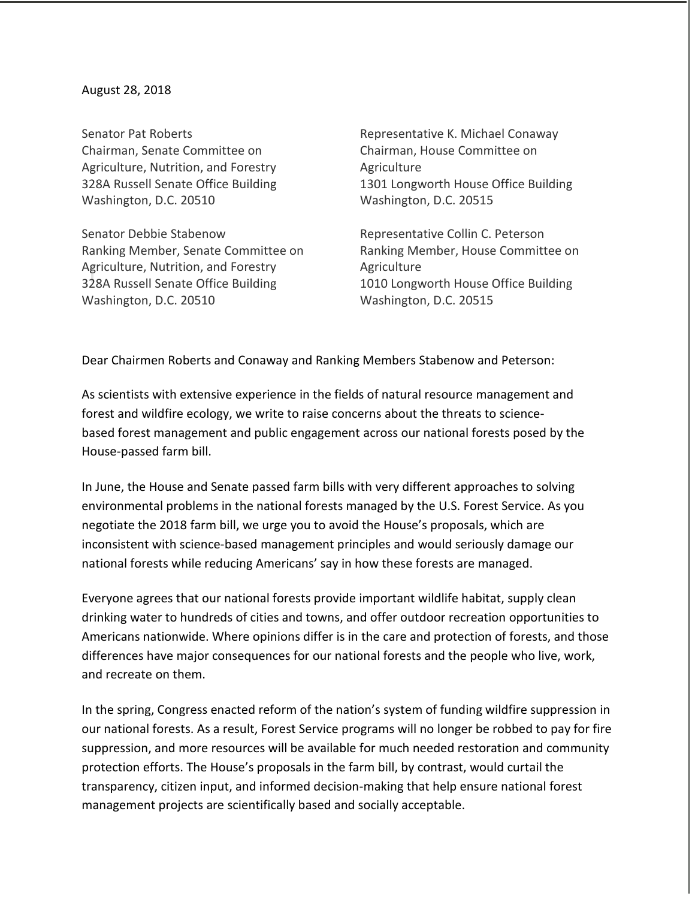## August 28, 2018

Senator Pat Roberts Chairman, Senate Committee on Agriculture, Nutrition, and Forestry 328A Russell Senate Office Building Washington, D.C. 20510

Senator Debbie Stabenow Ranking Member, Senate Committee on Agriculture, Nutrition, and Forestry 328A Russell Senate Office Building Washington, D.C. 20510

Representative K. Michael Conaway Chairman, House Committee on Agriculture 1301 Longworth House Office Building Washington, D.C. 20515

Representative Collin C. Peterson Ranking Member, House Committee on Agriculture 1010 Longworth House Office Building Washington, D.C. 20515

Dear Chairmen Roberts and Conaway and Ranking Members Stabenow and Peterson:

As scientists with extensive experience in the fields of natural resource management and forest and wildfire ecology, we write to raise concerns about the threats to sciencebased forest management and public engagement across our national forests posed by the House-passed farm bill.

In June, the House and Senate passed farm bills with very different approaches to solving environmental problems in the national forests managed by the U.S. Forest Service. As you negotiate the 2018 farm bill, we urge you to avoid the House's proposals, which are inconsistent with science-based management principles and would seriously damage our national forests while reducing Americans' say in how these forests are managed. 

Everyone agrees that our national forests provide important wildlife habitat, supply clean drinking water to hundreds of cities and towns, and offer outdoor recreation opportunities to Americans nationwide. Where opinions differ is in the care and protection of forests, and those differences have major consequences for our national forests and the people who live, work, and recreate on them. 

In the spring, Congress enacted reform of the nation's system of funding wildfire suppression in our national forests. As a result, Forest Service programs will no longer be robbed to pay for fire suppression, and more resources will be available for much needed restoration and community protection efforts. The House's proposals in the farm bill, by contrast, would curtail the transparency, citizen input, and informed decision-making that help ensure national forest management projects are scientifically based and socially acceptable.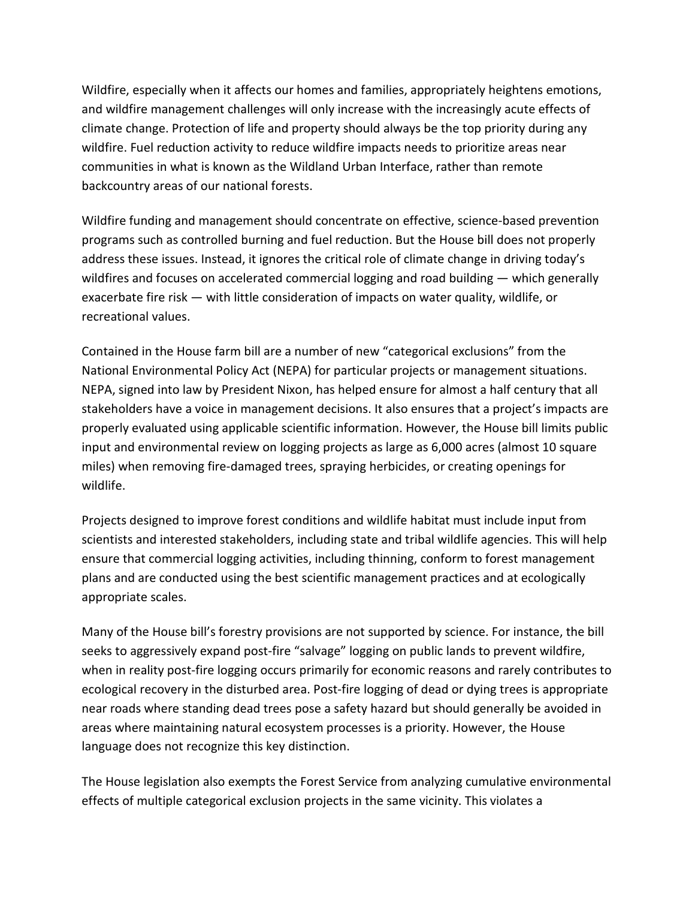Wildfire, especially when it affects our homes and families, appropriately heightens emotions, and wildfire management challenges will only increase with the increasingly acute effects of climate change. Protection of life and property should always be the top priority during any wildfire. Fuel reduction activity to reduce wildfire impacts needs to prioritize areas near communities in what is known as the Wildland Urban Interface, rather than remote backcountry areas of our national forests.

Wildfire funding and management should concentrate on effective, science-based prevention programs such as controlled burning and fuel reduction. But the House bill does not properly address these issues. Instead, it ignores the critical role of climate change in driving today's wildfires and focuses on accelerated commercial logging and road building — which generally exacerbate fire risk — with little consideration of impacts on water quality, wildlife, or recreational values.

Contained in the House farm bill are a number of new "categorical exclusions" from the National Environmental Policy Act (NEPA) for particular projects or management situations. NEPA, signed into law by President Nixon, has helped ensure for almost a half century that all stakeholders have a voice in management decisions. It also ensures that a project's impacts are properly evaluated using applicable scientific information. However, the House bill limits public input and environmental review on logging projects as large as 6,000 acres (almost 10 square miles) when removing fire-damaged trees, spraying herbicides, or creating openings for wildlife.  

Projects designed to improve forest conditions and wildlife habitat must include input from scientists and interested stakeholders, including state and tribal wildlife agencies. This will help ensure that commercial logging activities, including thinning, conform to forest management plans and are conducted using the best scientific management practices and at ecologically appropriate scales. 

Many of the House bill's forestry provisions are not supported by science. For instance, the bill seeks to aggressively expand post-fire "salvage" logging on public lands to prevent wildfire, when in reality post-fire logging occurs primarily for economic reasons and rarely contributes to ecological recovery in the disturbed area. Post-fire logging of dead or dying trees is appropriate near roads where standing dead trees pose a safety hazard but should generally be avoided in areas where maintaining natural ecosystem processes is a priority. However, the House language does not recognize this key distinction.

The House legislation also exempts the Forest Service from analyzing cumulative environmental effects of multiple categorical exclusion projects in the same vicinity. This violates a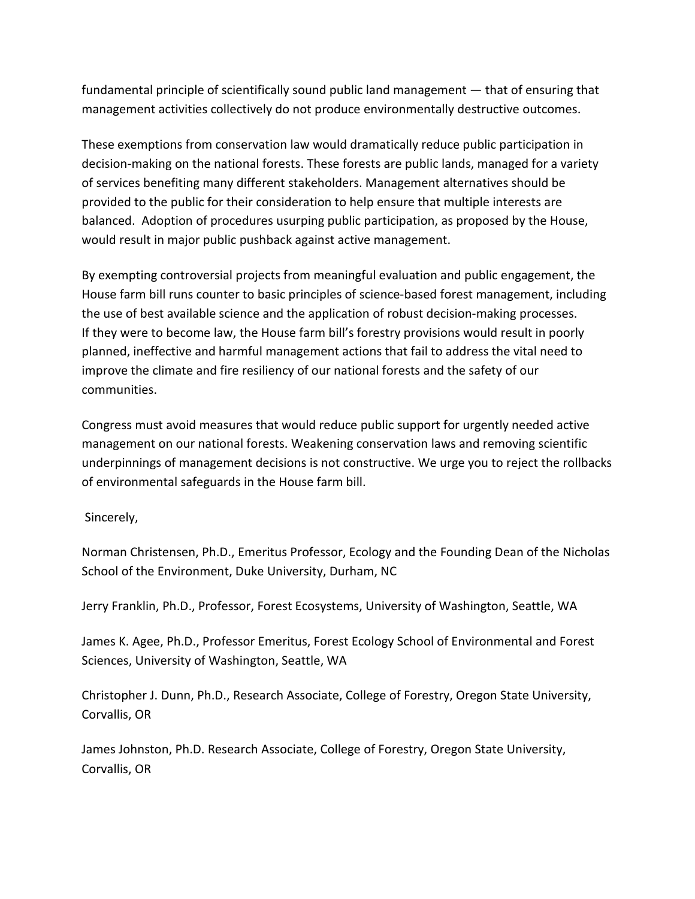fundamental principle of scientifically sound public land management — that of ensuring that management activities collectively do not produce environmentally destructive outcomes. 

These exemptions from conservation law would dramatically reduce public participation in decision-making on the national forests. These forests are public lands, managed for a variety of services benefiting many different stakeholders. Management alternatives should be provided to the public for their consideration to help ensure that multiple interests are balanced. Adoption of procedures usurping public participation, as proposed by the House, would result in major public pushback against active management.

By exempting controversial projects from meaningful evaluation and public engagement, the House farm bill runs counter to basic principles of science-based forest management, including the use of best available science and the application of robust decision-making processes. If they were to become law, the House farm bill's forestry provisions would result in poorly planned, ineffective and harmful management actions that fail to address the vital need to improve the climate and fire resiliency of our national forests and the safety of our communities.

Congress must avoid measures that would reduce public support for urgently needed active management on our national forests. Weakening conservation laws and removing scientific underpinnings of management decisions is not constructive. We urge you to reject the rollbacks of environmental safeguards in the House farm bill.

Sincerely,

Norman Christensen, Ph.D., Emeritus Professor, Ecology and the Founding Dean of the Nicholas School of the Environment, Duke University, Durham, NC

Jerry Franklin, Ph.D., Professor, Forest Ecosystems, University of Washington, Seattle, WA 

James K. Agee, Ph.D., Professor Emeritus, Forest Ecology School of Environmental and Forest Sciences, University of Washington, Seattle, WA

Christopher J. Dunn, Ph.D., Research Associate, College of Forestry, Oregon State University, Corvallis, OR

James Johnston, Ph.D. Research Associate, College of Forestry, Oregon State University, Corvallis, OR